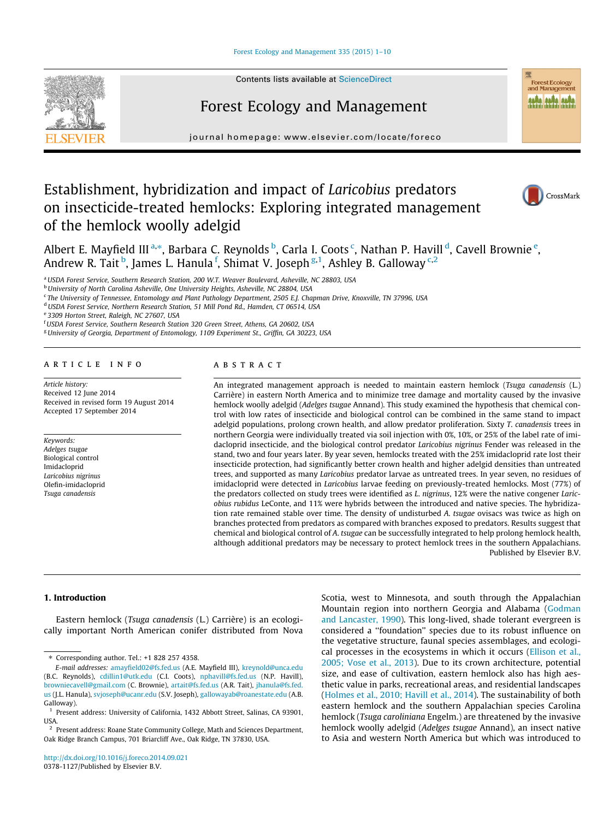#### [Forest Ecology and Management 335 \(2015\) 1–10](http://dx.doi.org/10.1016/j.foreco.2014.09.021)



Contents lists available at [ScienceDirect](http://www.sciencedirect.com/science/journal/03781127)

# Forest Ecology and Management

journal homepage: [www.elsevier.com/locate/foreco](http://www.elsevier.com/locate/foreco)

# Establishment, hybridization and impact of Laricobius predators on insecticide-treated hemlocks: Exploring integrated management of the hemlock woolly adelgid



Forest Ecology<br>and Managemer **MA MA MA** 

Albert E. Mayfield III <sup>a,</sup>\*, Barbara C. Reynolds <sup>b</sup>, Carla I. Coots <sup>c</sup>, Nathan P. Havill <sup>d</sup>, Cavell Brownie <sup>e</sup>, Andrew R. Tait <sup>b</sup>, James L. Hanula <sup>f</sup>, Shimat V. Joseph <sup>g, 1</sup>, Ashley B. Galloway <sup>c,2</sup>

a USDA Forest Service, Southern Research Station, 200 W.T. Weaver Boulevard, Asheville, NC 28803, USA

<sup>b</sup> University of North Carolina Asheville, One University Heights, Asheville, NC 28804, USA

<sup>c</sup> The University of Tennessee, Entomology and Plant Pathology Department, 2505 E.J. Chapman Drive, Knoxville, TN 37996, USA

<sup>d</sup> USDA Forest Service, Northern Research Station, 51 Mill Pond Rd., Hamden, CT 06514, USA

<sup>e</sup> 3309 Horton Street, Raleigh, NC 27607, USA

<sup>f</sup> USDA Forest Service, Southern Research Station 320 Green Street, Athens, GA 20602, USA

<sup>g</sup> University of Georgia, Department of Entomology, 1109 Experiment St., Griffin, GA 30223, USA

# article info

Article history: Received 12 June 2014 Received in revised form 19 August 2014 Accepted 17 September 2014

Keywords: Adelges tsugae Biological control Imidacloprid Laricobius nigrinus Olefin-imidacloprid Tsuga canadensis

## **ABSTRACT**

An integrated management approach is needed to maintain eastern hemlock (Tsuga canadensis (L.) Carrière) in eastern North America and to minimize tree damage and mortality caused by the invasive hemlock woolly adelgid (Adelges tsugae Annand). This study examined the hypothesis that chemical control with low rates of insecticide and biological control can be combined in the same stand to impact adelgid populations, prolong crown health, and allow predator proliferation. Sixty T. canadensis trees in northern Georgia were individually treated via soil injection with 0%, 10%, or 25% of the label rate of imidacloprid insecticide, and the biological control predator Laricobius nigrinus Fender was released in the stand, two and four years later. By year seven, hemlocks treated with the 25% imidacloprid rate lost their insecticide protection, had significantly better crown health and higher adelgid densities than untreated trees, and supported as many Laricobius predator larvae as untreated trees. In year seven, no residues of imidacloprid were detected in Laricobius larvae feeding on previously-treated hemlocks. Most (77%) of the predators collected on study trees were identified as L. nigrinus, 12% were the native congener Laricobius rubidus LeConte, and 11% were hybrids between the introduced and native species. The hybridization rate remained stable over time. The density of undisturbed A. tsugae ovisacs was twice as high on branches protected from predators as compared with branches exposed to predators. Results suggest that chemical and biological control of A. tsugae can be successfully integrated to help prolong hemlock health, although additional predators may be necessary to protect hemlock trees in the southern Appalachians. Published by Elsevier B.V.

# 1. Introduction

Eastern hemlock (Tsuga canadensis (L.) Carrière) is an ecologically important North American conifer distributed from Nova

⇑ Corresponding author. Tel.: +1 828 257 4358.

Scotia, west to Minnesota, and south through the Appalachian Mountain region into northern Georgia and Alabama ([Godman](#page-9-0) [and Lancaster, 1990](#page-9-0)). This long-lived, shade tolerant evergreen is considered a ''foundation'' species due to its robust influence on the vegetative structure, faunal species assemblages, and ecological processes in the ecosystems in which it occurs [\(Ellison et al.,](#page-8-0) [2005; Vose et al., 2013](#page-8-0)). Due to its crown architecture, potential size, and ease of cultivation, eastern hemlock also has high aesthetic value in parks, recreational areas, and residential landscapes ([Holmes et al., 2010; Havill et al., 2014\)](#page-9-0). The sustainability of both eastern hemlock and the southern Appalachian species Carolina hemlock (Tsuga caroliniana Engelm.) are threatened by the invasive hemlock woolly adelgid (Adelges tsugae Annand), an insect native to Asia and western North America but which was introduced to

E-mail addresses: [amayfield02@fs.fed.us](mailto:amayfield02@fs.fed.us) (A.E. Mayfield III), [kreynold@unca.edu](mailto:kreynold@unca.edu) (B.C. Reynolds), [cdillin1@utk.edu](mailto:cdillin1@utk.edu) (C.I. Coots), [nphavill@fs.fed.us](mailto:nphavill@fs.fed.us) (N.P. Havill), [browniecavell@gmail.com](mailto:browniecavell@gmail.com) (C. Brownie), [artait@fs.fed.us](mailto:artait@fs.fed.us) (A.R. Tait), [jhanula@fs.fed.](mailto:jhanula@fs.fed.us) [us](mailto:jhanula@fs.fed.us) (J.L. Hanula), [svjoseph@ucanr.edu](mailto:svjoseph@ucanr.edu) (S.V. Joseph), [gallowayab@roanestate.edu](mailto:gallowayab@roanestate.edu) (A.B. Galloway).

<sup>&</sup>lt;sup>1</sup> Present address: University of California, 1432 Abbott Street, Salinas, CA 93901, USA.

<sup>&</sup>lt;sup>2</sup> Present address: Roane State Community College, Math and Sciences Department, Oak Ridge Branch Campus, 701 Briarcliff Ave., Oak Ridge, TN 37830, USA.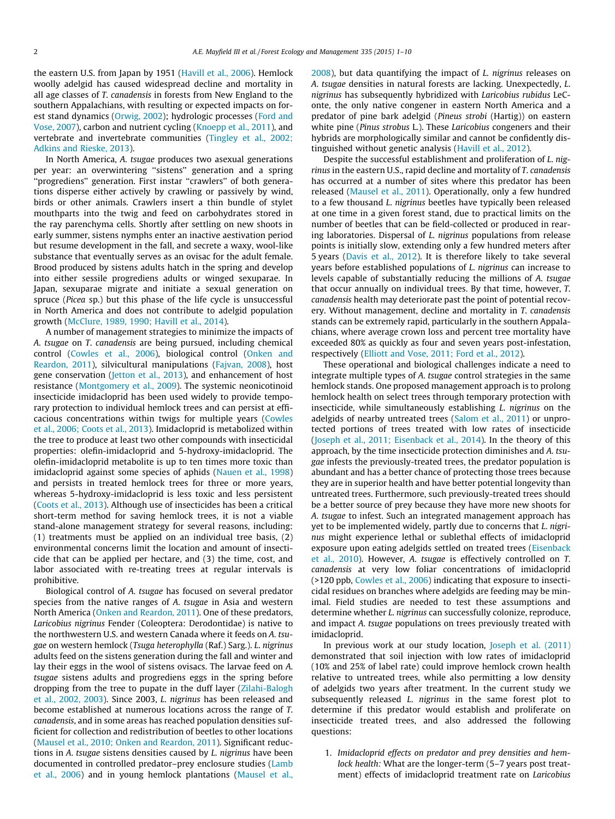the eastern U.S. from Japan by 1951 ([Havill et al., 2006\)](#page-9-0). Hemlock woolly adelgid has caused widespread decline and mortality in all age classes of T. canadensis in forests from New England to the southern Appalachians, with resulting or expected impacts on forest stand dynamics [\(Orwig, 2002\)](#page-9-0); hydrologic processes [\(Ford and](#page-9-0) [Vose, 2007\)](#page-9-0), carbon and nutrient cycling [\(Knoepp et al., 2011\)](#page-9-0), and vertebrate and invertebrate communities ([Tingley et al., 2002;](#page-9-0) [Adkins and Rieske, 2013\)](#page-9-0).

In North America, A. tsugae produces two asexual generations per year: an overwintering ''sistens'' generation and a spring ''progrediens'' generation. First instar ''crawlers'' of both generations disperse either actively by crawling or passively by wind, birds or other animals. Crawlers insert a thin bundle of stylet mouthparts into the twig and feed on carbohydrates stored in the ray parenchyma cells. Shortly after settling on new shoots in early summer, sistens nymphs enter an inactive aestivation period but resume development in the fall, and secrete a waxy, wool-like substance that eventually serves as an ovisac for the adult female. Brood produced by sistens adults hatch in the spring and develop into either sessile progrediens adults or winged sexuparae. In Japan, sexuparae migrate and initiate a sexual generation on spruce (Picea sp.) but this phase of the life cycle is unsuccessful in North America and does not contribute to adelgid population growth ([McClure, 1989, 1990; Havill et al., 2014\)](#page-9-0).

A number of management strategies to minimize the impacts of A. tsugae on T. canadensis are being pursued, including chemical control ([Cowles et al., 2006](#page-8-0)), biological control [\(Onken and](#page-9-0) [Reardon, 2011](#page-9-0)), silvicultural manipulations ([Fajvan, 2008](#page-8-0)), host gene conservation [\(Jetton et al., 2013](#page-9-0)), and enhancement of host resistance [\(Montgomery et al., 2009](#page-9-0)). The systemic neonicotinoid insecticide imidacloprid has been used widely to provide temporary protection to individual hemlock trees and can persist at efficacious concentrations within twigs for multiple years ([Cowles](#page-8-0) [et al., 2006; Coots et al., 2013\)](#page-8-0). Imidacloprid is metabolized within the tree to produce at least two other compounds with insecticidal properties: olefin-imidacloprid and 5-hydroxy-imidacloprid. The olefin-imidacloprid metabolite is up to ten times more toxic than imidacloprid against some species of aphids ([Nauen et al., 1998\)](#page-9-0) and persists in treated hemlock trees for three or more years, whereas 5-hydroxy-imidacloprid is less toxic and less persistent ([Coots et al., 2013](#page-8-0)). Although use of insecticides has been a critical short-term method for saving hemlock trees, it is not a viable stand-alone management strategy for several reasons, including: (1) treatments must be applied on an individual tree basis, (2) environmental concerns limit the location and amount of insecticide that can be applied per hectare, and (3) the time, cost, and labor associated with re-treating trees at regular intervals is prohibitive.

Biological control of A. tsugae has focused on several predator species from the native ranges of A. tsugae in Asia and western North America [\(Onken and Reardon, 2011\)](#page-9-0). One of these predators, Laricobius nigrinus Fender (Coleoptera: Derodontidae) is native to the northwestern U.S. and western Canada where it feeds on A. tsugae on western hemlock (Tsuga heterophylla (Raf.) Sarg.). L. nigrinus adults feed on the sistens generation during the fall and winter and lay their eggs in the wool of sistens ovisacs. The larvae feed on A. tsugae sistens adults and progrediens eggs in the spring before dropping from the tree to pupate in the duff layer ([Zilahi-Balogh](#page-9-0) [et al., 2002, 2003](#page-9-0)). Since 2003, L. nigrinus has been released and become established at numerous locations across the range of T. canadensis, and in some areas has reached population densities sufficient for collection and redistribution of beetles to other locations ([Mausel et al., 2010; Onken and Reardon, 2011\)](#page-9-0). Significant reductions in A. tsugae sistens densities caused by L. nigrinus have been documented in controlled predator–prey enclosure studies [\(Lamb](#page-9-0) [et al., 2006](#page-9-0)) and in young hemlock plantations ([Mausel et al.,](#page-9-0)

[2008\)](#page-9-0), but data quantifying the impact of L. nigrinus releases on A. tsugae densities in natural forests are lacking. Unexpectedly, L. nigrinus has subsequently hybridized with Laricobius rubidus LeConte, the only native congener in eastern North America and a predator of pine bark adelgid (Pineus strobi (Hartig)) on eastern white pine (Pinus strobus L.). These Laricobius congeners and their hybrids are morphologically similar and cannot be confidently distinguished without genetic analysis ([Havill et al., 2012\)](#page-9-0).

Despite the successful establishment and proliferation of L. nigrinus in the eastern U.S., rapid decline and mortality of T. canadensis has occurred at a number of sites where this predator has been released [\(Mausel et al., 2011](#page-9-0)). Operationally, only a few hundred to a few thousand L. nigrinus beetles have typically been released at one time in a given forest stand, due to practical limits on the number of beetles that can be field-collected or produced in rearing laboratories. Dispersal of L. nigrinus populations from release points is initially slow, extending only a few hundred meters after 5 years [\(Davis et al., 2012](#page-8-0)). It is therefore likely to take several years before established populations of L. nigrinus can increase to levels capable of substantially reducing the millions of A. tsugae that occur annually on individual trees. By that time, however, T. canadensis health may deteriorate past the point of potential recovery. Without management, decline and mortality in T. canadensis stands can be extremely rapid, particularly in the southern Appalachians, where average crown loss and percent tree mortality have exceeded 80% as quickly as four and seven years post-infestation, respectively ([Elliott and Vose, 2011; Ford et al., 2012\)](#page-8-0).

These operational and biological challenges indicate a need to integrate multiple types of A. tsugae control strategies in the same hemlock stands. One proposed management approach is to prolong hemlock health on select trees through temporary protection with insecticide, while simultaneously establishing L. nigrinus on the adelgids of nearby untreated trees [\(Salom et al., 2011\)](#page-9-0) or unprotected portions of trees treated with low rates of insecticide ([Joseph et al., 2011; Eisenback et al., 2014\)](#page-9-0). In the theory of this approach, by the time insecticide protection diminishes and A. tsugae infests the previously-treated trees, the predator population is abundant and has a better chance of protecting those trees because they are in superior health and have better potential longevity than untreated trees. Furthermore, such previously-treated trees should be a better source of prey because they have more new shoots for A. tsugae to infest. Such an integrated management approach has yet to be implemented widely, partly due to concerns that L. nigrinus might experience lethal or sublethal effects of imidacloprid exposure upon eating adelgids settled on treated trees [\(Eisenback](#page-8-0) [et al., 2010](#page-8-0)). However, A. tsugae is effectively controlled on T. canadensis at very low foliar concentrations of imidacloprid (>120 ppb, [Cowles et al., 2006\)](#page-8-0) indicating that exposure to insecticidal residues on branches where adelgids are feeding may be minimal. Field studies are needed to test these assumptions and determine whether L. nigrinus can successfully colonize, reproduce, and impact A. tsugae populations on trees previously treated with imidacloprid.

In previous work at our study location, [Joseph et al. \(2011\)](#page-9-0) demonstrated that soil injection with low rates of imidacloprid (10% and 25% of label rate) could improve hemlock crown health relative to untreated trees, while also permitting a low density of adelgids two years after treatment. In the current study we subsequently released L. nigrinus in the same forest plot to determine if this predator would establish and proliferate on insecticide treated trees, and also addressed the following questions:

1. Imidacloprid effects on predator and prey densities and hemlock health: What are the longer-term (5–7 years post treatment) effects of imidacloprid treatment rate on Laricobius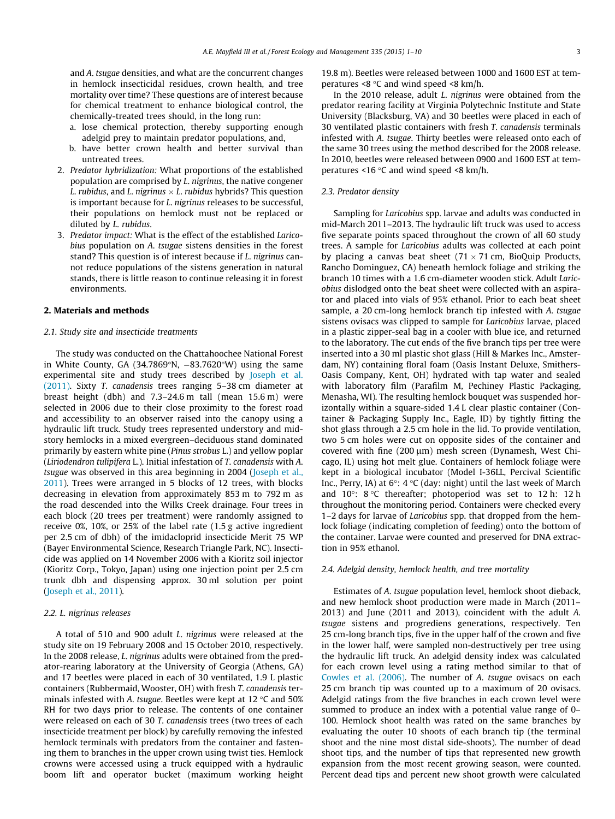<span id="page-2-0"></span>and A. tsugae densities, and what are the concurrent changes in hemlock insecticidal residues, crown health, and tree mortality over time? These questions are of interest because for chemical treatment to enhance biological control, the chemically-treated trees should, in the long run:

- a. lose chemical protection, thereby supporting enough adelgid prey to maintain predator populations, and,
- b. have better crown health and better survival than untreated trees.
- 2. Predator hybridization: What proportions of the established population are comprised by L. nigrinus, the native congener *L*. rubidus, and *L*. nigrinus  $\times$  *L.* rubidus hybrids? This question is important because for L. nigrinus releases to be successful, their populations on hemlock must not be replaced or diluted by L. rubidus.
- 3. Predator impact: What is the effect of the established Laricobius population on A. tsugae sistens densities in the forest stand? This question is of interest because if L. nigrinus cannot reduce populations of the sistens generation in natural stands, there is little reason to continue releasing it in forest environments.

# 2. Materials and methods

# 2.1. Study site and insecticide treatments

The study was conducted on the Chattahoochee National Forest in White County, GA (34.7869°N, –83.7620°W) using the same experimental site and study trees described by [Joseph et al.](#page-9-0) [\(2011\).](#page-9-0) Sixty T. canadensis trees ranging 5–38 cm diameter at breast height (dbh) and 7.3–24.6 m tall (mean 15.6 m) were selected in 2006 due to their close proximity to the forest road and accessibility to an observer raised into the canopy using a hydraulic lift truck. Study trees represented understory and midstory hemlocks in a mixed evergreen–deciduous stand dominated primarily by eastern white pine (Pinus strobus L.) and yellow poplar (Liriodendron tulipifera L.). Initial infestation of T. canadensis with A. tsugae was observed in this area beginning in 2004 [\(Joseph et al.,](#page-9-0) [2011\)](#page-9-0). Trees were arranged in 5 blocks of 12 trees, with blocks decreasing in elevation from approximately 853 m to 792 m as the road descended into the Wilks Creek drainage. Four trees in each block (20 trees per treatment) were randomly assigned to receive 0%, 10%, or 25% of the label rate (1.5 g active ingredient per 2.5 cm of dbh) of the imidacloprid insecticide Merit 75 WP (Bayer Environmental Science, Research Triangle Park, NC). Insecticide was applied on 14 November 2006 with a Kioritz soil injector (Kioritz Corp., Tokyo, Japan) using one injection point per 2.5 cm trunk dbh and dispensing approx. 30 ml solution per point ([Joseph et al., 2011](#page-9-0)).

### 2.2. L. nigrinus releases

A total of 510 and 900 adult L. nigrinus were released at the study site on 19 February 2008 and 15 October 2010, respectively. In the 2008 release, L. nigrinus adults were obtained from the predator-rearing laboratory at the University of Georgia (Athens, GA) and 17 beetles were placed in each of 30 ventilated, 1.9 L plastic containers (Rubbermaid, Wooster, OH) with fresh T. canadensis terminals infested with A. tsugae. Beetles were kept at 12 °C and 50% RH for two days prior to release. The contents of one container were released on each of 30 T. canadensis trees (two trees of each insecticide treatment per block) by carefully removing the infested hemlock terminals with predators from the container and fastening them to branches in the upper crown using twist ties. Hemlock crowns were accessed using a truck equipped with a hydraulic boom lift and operator bucket (maximum working height

19.8 m). Beetles were released between 1000 and 1600 EST at temperatures  $\leq 8$  °C and wind speed  $\leq 8$  km/h.

In the 2010 release, adult L. nigrinus were obtained from the predator rearing facility at Virginia Polytechnic Institute and State University (Blacksburg, VA) and 30 beetles were placed in each of 30 ventilated plastic containers with fresh T. canadensis terminals infested with A. tsugae. Thirty beetles were released onto each of the same 30 trees using the method described for the 2008 release. In 2010, beetles were released between 0900 and 1600 EST at temperatures <16  $\degree$ C and wind speed <8 km/h.

# 2.3. Predator density

Sampling for Laricobius spp. larvae and adults was conducted in mid-March 2011–2013. The hydraulic lift truck was used to access five separate points spaced throughout the crown of all 60 study trees. A sample for Laricobius adults was collected at each point by placing a canvas beat sheet (71  $\times$  71 cm, BioQuip Products, Rancho Dominguez, CA) beneath hemlock foliage and striking the branch 10 times with a 1.6 cm-diameter wooden stick. Adult Laricobius dislodged onto the beat sheet were collected with an aspirator and placed into vials of 95% ethanol. Prior to each beat sheet sample, a 20 cm-long hemlock branch tip infested with A. tsugae sistens ovisacs was clipped to sample for Laricobius larvae, placed in a plastic zipper-seal bag in a cooler with blue ice, and returned to the laboratory. The cut ends of the five branch tips per tree were inserted into a 30 ml plastic shot glass (Hill & Markes Inc., Amsterdam, NY) containing floral foam (Oasis Instant Deluxe, Smithers-Oasis Company, Kent, OH) hydrated with tap water and sealed with laboratory film (Parafilm M, Pechiney Plastic Packaging, Menasha, WI). The resulting hemlock bouquet was suspended horizontally within a square-sided 1.4 L clear plastic container (Container & Packaging Supply Inc., Eagle, ID) by tightly fitting the shot glass through a 2.5 cm hole in the lid. To provide ventilation, two 5 cm holes were cut on opposite sides of the container and covered with fine  $(200 \mu m)$  mesh screen (Dynamesh, West Chicago, IL) using hot melt glue. Containers of hemlock foliage were kept in a biological incubator (Model I-36LL, Percival Scientific Inc., Perry, IA) at 6°: 4 °C (day: night) until the last week of March and  $10^{\circ}$ :  $8^{\circ}$ C thereafter; photoperiod was set to 12 h: 12 h throughout the monitoring period. Containers were checked every 1–2 days for larvae of Laricobius spp. that dropped from the hemlock foliage (indicating completion of feeding) onto the bottom of the container. Larvae were counted and preserved for DNA extraction in 95% ethanol.

## 2.4. Adelgid density, hemlock health, and tree mortality

Estimates of A. tsugae population level, hemlock shoot dieback, and new hemlock shoot production were made in March (2011– 2013) and June (2011 and 2013), coincident with the adult A. tsugae sistens and progrediens generations, respectively. Ten 25 cm-long branch tips, five in the upper half of the crown and five in the lower half, were sampled non-destructively per tree using the hydraulic lift truck. An adelgid density index was calculated for each crown level using a rating method similar to that of [Cowles et al. \(2006\).](#page-8-0) The number of A. tsugae ovisacs on each 25 cm branch tip was counted up to a maximum of 20 ovisacs. Adelgid ratings from the five branches in each crown level were summed to produce an index with a potential value range of 0– 100. Hemlock shoot health was rated on the same branches by evaluating the outer 10 shoots of each branch tip (the terminal shoot and the nine most distal side-shoots). The number of dead shoot tips, and the number of tips that represented new growth expansion from the most recent growing season, were counted. Percent dead tips and percent new shoot growth were calculated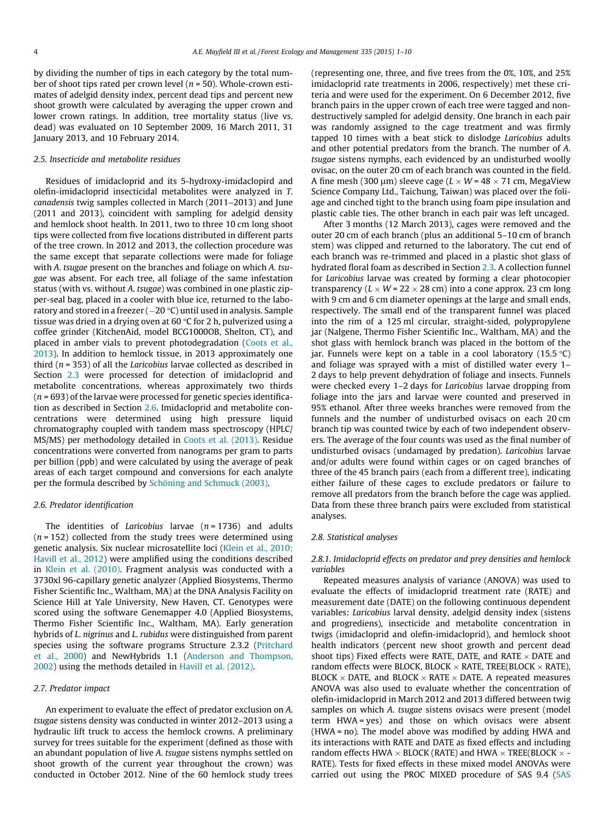by dividing the number of tips in each category by the total number of shoot tips rated per crown level ( $n = 50$ ). Whole-crown estimates of adelgid density index, percent dead tips and percent new shoot growth were calculated by averaging the upper crown and lower crown ratings. In addition, tree mortality status (live vs. dead) was evaluated on 10 September 2009, 16 March 2011, 31 January 2013, and 10 February 2014.

# 2.5. Insecticide and metabolite residues

Residues of imidacloprid and its 5-hydroxy-imidaclopird and olefin-imidacloprid insecticidal metabolites were analyzed in T. canadensis twig samples collected in March (2011–2013) and June (2011 and 2013), coincident with sampling for adelgid density and hemlock shoot health. In 2011, two to three 10 cm long shoot tips were collected from five locations distributed in different parts of the tree crown. In 2012 and 2013, the collection procedure was the same except that separate collections were made for foliage with A. tsugae present on the branches and foliage on which A. tsugae was absent. For each tree, all foliage of the same infestation status (with vs. without A. tsugae) was combined in one plastic zipper-seal bag, placed in a cooler with blue ice, returned to the laboratory and stored in a freezer (–20 °C) until used in analysis. Sample tissue was dried in a drying oven at 60 °C for 2 h, pulverized using a coffee grinder (KitchenAid, model BCG1000OB, Shelton, CT), and placed in amber vials to prevent photodegradation ([Coots et al.,](#page-8-0) [2013\)](#page-8-0). In addition to hemlock tissue, in 2013 approximately one third  $(n = 353)$  of all the Laricobius larvae collected as described in Section [2.3](#page-2-0) were processed for detection of imidacloprid and metabolite concentrations, whereas approximately two thirds  $(n = 693)$  of the larvae were processed for genetic species identification as described in Section 2.6. Imidacloprid and metabolite concentrations were determined using high pressure liquid chromatography coupled with tandem mass spectroscopy (HPLC/ MS/MS) per methodology detailed in [Coots et al. \(2013\)](#page-8-0). Residue concentrations were converted from nanograms per gram to parts per billion (ppb) and were calculated by using the average of peak areas of each target compound and conversions for each analyte per the formula described by [Schöning and Schmuck \(2003\)](#page-9-0).

#### 2.6. Predator identification

The identities of Laricobius larvae  $(n = 1736)$  and adults  $(n = 152)$  collected from the study trees were determined using genetic analysis. Six nuclear microsatellite loci [\(Klein et al., 2010;](#page-9-0) [Havill et al., 2012](#page-9-0)) were amplified using the conditions described in [Klein et al. \(2010\)](#page-9-0). Fragment analysis was conducted with a 3730xl 96-capillary genetic analyzer (Applied Biosystems, Thermo Fisher Scientific Inc., Waltham, MA) at the DNA Analysis Facility on Science Hill at Yale University, New Haven, CT. Genotypes were scored using the software Genemapper 4.0 (Applied Biosystems, Thermo Fisher Scientific Inc., Waltham, MA). Early generation hybrids of L. nigrinus and L. rubidus were distinguished from parent species using the software programs Structure 2.3.2 [\(Pritchard](#page-9-0) [et al., 2000](#page-9-0)) and NewHybrids 1.1 [\(Anderson and Thompson,](#page-8-0) [2002\)](#page-8-0) using the methods detailed in [Havill et al. \(2012\)](#page-9-0).

# 2.7. Predator impact

An experiment to evaluate the effect of predator exclusion on A. tsugae sistens density was conducted in winter 2012–2013 using a hydraulic lift truck to access the hemlock crowns. A preliminary survey for trees suitable for the experiment (defined as those with an abundant population of live A. tsugae sistens nymphs settled on shoot growth of the current year throughout the crown) was conducted in October 2012. Nine of the 60 hemlock study trees (representing one, three, and five trees from the 0%, 10%, and 25% imidacloprid rate treatments in 2006, respectively) met these criteria and were used for the experiment. On 6 December 2012, five branch pairs in the upper crown of each tree were tagged and nondestructively sampled for adelgid density. One branch in each pair was randomly assigned to the cage treatment and was firmly tapped 10 times with a beat stick to dislodge Laricobius adults and other potential predators from the branch. The number of A. tsugae sistens nymphs, each evidenced by an undisturbed woolly ovisac, on the outer 20 cm of each branch was counted in the field. A fine mesh (300  $\mu$ m) sleeve cage ( $L \times W$  = 48  $\times$  71 cm, MegaView Science Company Ltd., Taichung, Taiwan) was placed over the foliage and cinched tight to the branch using foam pipe insulation and plastic cable ties. The other branch in each pair was left uncaged.

After 3 months (12 March 2013), cages were removed and the outer 20 cm of each branch (plus an additional 5–10 cm of branch stem) was clipped and returned to the laboratory. The cut end of each branch was re-trimmed and placed in a plastic shot glass of hydrated floral foam as described in Section [2.3.](#page-2-0) A collection funnel for Laricobius larvae was created by forming a clear photocopier transparency ( $L \times W$  = 22  $\times$  28 cm) into a cone approx. 23 cm long with 9 cm and 6 cm diameter openings at the large and small ends, respectively. The small end of the transparent funnel was placed into the rim of a 125 ml circular, straight-sided, polypropylene jar (Nalgene, Thermo Fisher Scientific Inc., Waltham, MA) and the shot glass with hemlock branch was placed in the bottom of the jar. Funnels were kept on a table in a cool laboratory (15.5 °C) and foliage was sprayed with a mist of distilled water every 1– 2 days to help prevent dehydration of foliage and insects. Funnels were checked every 1–2 days for Laricobius larvae dropping from foliage into the jars and larvae were counted and preserved in 95% ethanol. After three weeks branches were removed from the funnels and the number of undisturbed ovisacs on each 20 cm branch tip was counted twice by each of two independent observers. The average of the four counts was used as the final number of undisturbed ovisacs (undamaged by predation). Laricobius larvae and/or adults were found within cages or on caged branches of three of the 45 branch pairs (each from a different tree), indicating either failure of these cages to exclude predators or failure to remove all predators from the branch before the cage was applied. Data from these three branch pairs were excluded from statistical analyses.

# 2.8. Statistical analyses

# 2.8.1. Imidacloprid effects on predator and prey densities and hemlock variables

Repeated measures analysis of variance (ANOVA) was used to evaluate the effects of imidacloprid treatment rate (RATE) and measurement date (DATE) on the following continuous dependent variables: Laricobius larval density, adelgid density index (sistens and progrediens), insecticide and metabolite concentration in twigs (imidacloprid and olefin-imidacloprid), and hemlock shoot health indicators (percent new shoot growth and percent dead shoot tips) Fixed effects were RATE, DATE, and RATE  $\times$  DATE and random effects were BLOCK, BLOCK  $\times$  RATE, TREE(BLOCK  $\times$  RATE), BLOCK  $\times$  DATE, and BLOCK  $\times$  RATE  $\times$  DATE. A repeated measures ANOVA was also used to evaluate whether the concentration of olefin-imidacloprid in March 2012 and 2013 differed between twig samples on which A. tsugae sistens ovisacs were present (model term HWA = yes) and those on which ovisacs were absent (HWA = no). The model above was modified by adding HWA and its interactions with RATE and DATE as fixed effects and including random effects HWA  $\times$  BLOCK (RATE) and HWA  $\times$  TREE(BLOCK  $\times$  -RATE). Tests for fixed effects in these mixed model ANOVAs were carried out using the PROC MIXED procedure of SAS 9.4 ([SAS](#page-9-0)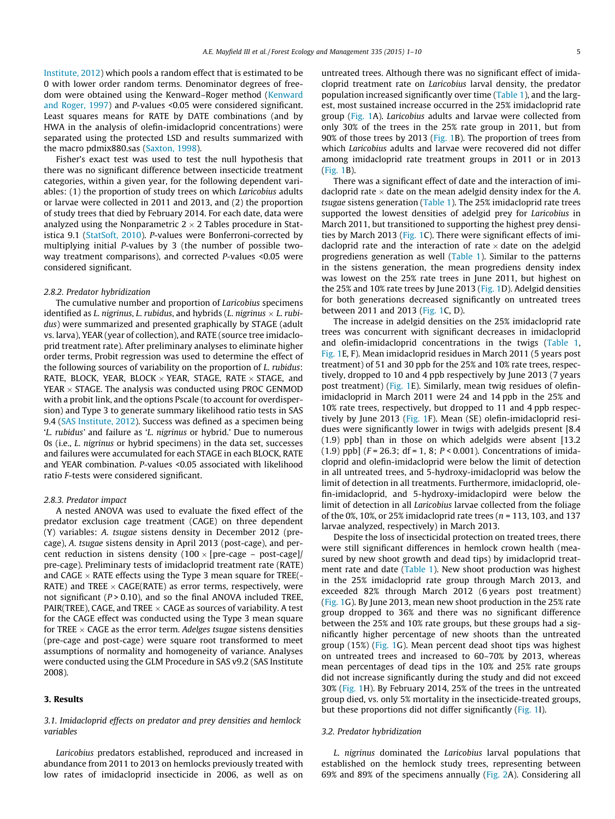[Institute, 2012](#page-9-0)) which pools a random effect that is estimated to be 0 with lower order random terms. Denominator degrees of freedom were obtained using the Kenward–Roger method ([Kenward](#page-9-0) [and Roger, 1997](#page-9-0)) and P-values <0.05 were considered significant. Least squares means for RATE by DATE combinations (and by HWA in the analysis of olefin-imidacloprid concentrations) were separated using the protected LSD and results summarized with the macro pdmix880.sas [\(Saxton, 1998\)](#page-9-0).

Fisher's exact test was used to test the null hypothesis that there was no significant difference between insecticide treatment categories, within a given year, for the following dependent variables: (1) the proportion of study trees on which Laricobius adults or larvae were collected in 2011 and 2013, and (2) the proportion of study trees that died by February 2014. For each date, data were analyzed using the Nonparametric 2  $\times$  2 Tables procedure in Statistica 9.1 [\(StatSoft, 2010\)](#page-9-0). P-values were Bonferroni-corrected by multiplying initial P-values by 3 (the number of possible twoway treatment comparisons), and corrected P-values <0.05 were considered significant.

## 2.8.2. Predator hybridization

The cumulative number and proportion of Laricobius specimens identified as L. nigrinus, L. rubidus, and hybrids (L. nigrinus  $\times$  L. rubidus) were summarized and presented graphically by STAGE (adult vs. larva), YEAR (year of collection), and RATE (source tree imidacloprid treatment rate). After preliminary analyses to eliminate higher order terms, Probit regression was used to determine the effect of the following sources of variability on the proportion of L. rubidus: RATE, BLOCK, YEAR, BLOCK  $\times$  YEAR, STAGE, RATE  $\times$  STAGE, and YEAR  $\times$  STAGE. The analysis was conducted using PROC GENMOD with a probit link, and the options Pscale (to account for overdispersion) and Type 3 to generate summary likelihood ratio tests in SAS 9.4 [\(SAS Institute, 2012](#page-9-0)). Success was defined as a specimen being 'L. rubidus' and failure as 'L. nigrinus or hybrid.' Due to numerous 0s (i.e., L. nigrinus or hybrid specimens) in the data set, successes and failures were accumulated for each STAGE in each BLOCK, RATE and YEAR combination. P-values <0.05 associated with likelihood ratio F-tests were considered significant.

# 2.8.3. Predator impact

A nested ANOVA was used to evaluate the fixed effect of the predator exclusion cage treatment (CAGE) on three dependent (Y) variables: A. tsugae sistens density in December 2012 (precage), A. tsugae sistens density in April 2013 (post-cage), and percent reduction in sistens density (100  $\times$  [pre-cage – post-cage]/ pre-cage). Preliminary tests of imidacloprid treatment rate (RATE) and CAGE  $\times$  RATE effects using the Type 3 mean square for TREE(-RATE) and TREE  $\times$  CAGE(RATE) as error terms, respectively, were not significant ( $P > 0.10$ ), and so the final ANOVA included TREE, PAIR(TREE), CAGE, and TREE  $\times$  CAGE as sources of variability. A test for the CAGE effect was conducted using the Type 3 mean square for TREE  $\times$  CAGE as the error term. Adelges tsugae sistens densities (pre-cage and post-cage) were square root transformed to meet assumptions of normality and homogeneity of variance. Analyses were conducted using the GLM Procedure in SAS v9.2 (SAS Institute 2008).

# 3. Results

# 3.1. Imidacloprid effects on predator and prey densities and hemlock variables

Laricobius predators established, reproduced and increased in abundance from 2011 to 2013 on hemlocks previously treated with low rates of imidacloprid insecticide in 2006, as well as on untreated trees. Although there was no significant effect of imidacloprid treatment rate on Laricobius larval density, the predator population increased significantly over time [\(Table 1](#page-5-0)), and the largest, most sustained increase occurred in the 25% imidacloprid rate group [\(Fig. 1](#page-5-0)A). Laricobius adults and larvae were collected from only 30% of the trees in the 25% rate group in 2011, but from 90% of those trees by 2013 [\(Fig. 1B](#page-5-0)). The proportion of trees from which Laricobius adults and larvae were recovered did not differ among imidacloprid rate treatment groups in 2011 or in 2013 ([Fig. 1B](#page-5-0)).

There was a significant effect of date and the interaction of imidacloprid rate  $\times$  date on the mean adelgid density index for the A. tsugae sistens generation [\(Table 1](#page-5-0)). The 25% imidacloprid rate trees supported the lowest densities of adelgid prey for Laricobius in March 2011, but transitioned to supporting the highest prey densities by March 2013 [\(Fig. 1C](#page-5-0)). There were significant effects of imidacloprid rate and the interaction of rate  $\times$  date on the adelgid progrediens generation as well ([Table 1](#page-5-0)). Similar to the patterns in the sistens generation, the mean progrediens density index was lowest on the 25% rate trees in June 2011, but highest on the 25% and 10% rate trees by June 2013 ([Fig. 1D](#page-5-0)). Adelgid densities for both generations decreased significantly on untreated trees between 2011 and 2013 ([Fig. 1](#page-5-0)C, D).

The increase in adelgid densities on the 25% imidacloprid rate trees was concurrent with significant decreases in imidacloprid and olefin-imidacloprid concentrations in the twigs [\(Table 1,](#page-5-0) [Fig. 1](#page-5-0)E, F). Mean imidacloprid residues in March 2011 (5 years post treatment) of 51 and 30 ppb for the 25% and 10% rate trees, respectively, dropped to 10 and 4 ppb respectively by June 2013 (7 years post treatment) [\(Fig. 1](#page-5-0)E). Similarly, mean twig residues of olefinimidacloprid in March 2011 were 24 and 14 ppb in the 25% and 10% rate trees, respectively, but dropped to 11 and 4 ppb respectively by June 2013 ([Fig. 1F](#page-5-0)). Mean (SE) olefin-imidacloprid residues were significantly lower in twigs with adelgids present [8.4 (1.9) ppb] than in those on which adelgids were absent [13.2 (1.9) ppb]  $(F = 26.3; df = 1, 8; P < 0.001)$ . Concentrations of imidacloprid and olefin-imidacloprid were below the limit of detection in all untreated trees, and 5-hydroxy-imidacloprid was below the limit of detection in all treatments. Furthermore, imidacloprid, olefin-imidacloprid, and 5-hydroxy-imidaclopird were below the limit of detection in all Laricobius larvae collected from the foliage of the 0%, 10%, or 25% imidacloprid rate trees ( $n = 113$ , 103, and 137 larvae analyzed, respectively) in March 2013.

Despite the loss of insecticidal protection on treated trees, there were still significant differences in hemlock crown health (measured by new shoot growth and dead tips) by imidacloprid treat-ment rate and date ([Table 1](#page-5-0)). New shoot production was highest in the 25% imidacloprid rate group through March 2013, and exceeded 82% through March 2012 (6 years post treatment) ([Fig. 1](#page-5-0)G). By June 2013, mean new shoot production in the 25% rate group dropped to 36% and there was no significant difference between the 25% and 10% rate groups, but these groups had a significantly higher percentage of new shoots than the untreated group (15%) ([Fig. 1G](#page-5-0)). Mean percent dead shoot tips was highest on untreated trees and increased to 60–70% by 2013, whereas mean percentages of dead tips in the 10% and 25% rate groups did not increase significantly during the study and did not exceed 30% ([Fig. 1](#page-5-0)H). By February 2014, 25% of the trees in the untreated group died, vs. only 5% mortality in the insecticide-treated groups, but these proportions did not differ significantly ([Fig. 1](#page-5-0)I).

# 3.2. Predator hybridization

L. nigrinus dominated the Laricobius larval populations that established on the hemlock study trees, representing between 69% and 89% of the specimens annually [\(Fig. 2](#page-6-0)A). Considering all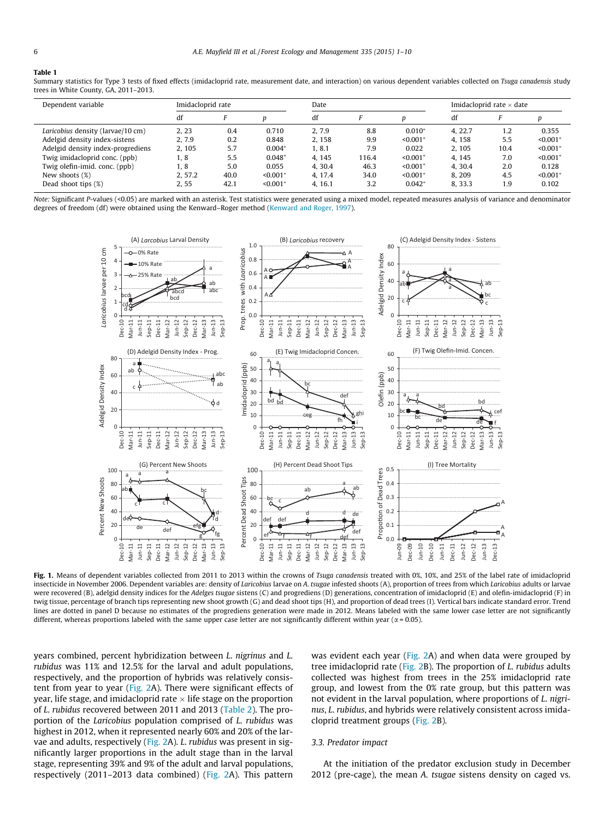#### <span id="page-5-0"></span>Table 1

Summary statistics for Type 3 tests of fixed effects (imidacloprid rate, measurement date, and interaction) on various dependent variables collected on Tsuga canadensis study trees in White County, GA, 2011–2013.

| Dependent variable                | Imidacloprid rate |      |            | Date   |       | Imidacloprid rate $\times$ date |        |      |                        |
|-----------------------------------|-------------------|------|------------|--------|-------|---------------------------------|--------|------|------------------------|
|                                   | df                |      |            | df     |       |                                 | df     |      |                        |
| Laricobius density (larvae/10 cm) | 2, 23             | 0.4  | 0.710      | 2.7.9  | 8.8   | $0.010*$                        | 4.22.7 | 1.2  | 0.355                  |
| Adelgid density index-sistens     | 2.7.9             | 0.2  | 0.848      | 2.158  | 9.9   | $< 0.001*$                      | 4.158  | 5.5  | $< 0.001$ *            |
| Adelgid density index-progrediens | 2.105             | 5.7  | $0.004*$   | 1.8.1  | 7.9   | 0.022                           | 2.105  | 10.4 | $< 0.001$ <sup>*</sup> |
| Twig imidacloprid conc. (ppb)     | 1.8               | 5.5  | $0.048*$   | 4.145  | 116.4 | $< 0.001*$                      | 4.145  | 7.0  | $< 0.001$ *            |
| Twig olefin-imid, conc. (ppb)     | 1.8               | 5.0  | 0.055      | 4.30.4 | 46.3  | $< 0.001*$                      | 4.30.4 | 2.0  | 0.128                  |
| New shoots $(\%)$                 | 2.57.2            | 40.0 | $< 0.001*$ | 4.17.4 | 34.0  | $< 0.001*$                      | 8.209  | 4.5  | $< 0.001*$             |
| Dead shoot tips (%)               | 2.55              | 42.1 | $< 0.001*$ | 4.16.1 | 3.2   | $0.042*$                        | 8.33.3 | 1.9  | 0.102                  |

Note: Significant P-values (<0.05) are marked with an asterisk. Test statistics were generated using a mixed model, repeated measures analysis of variance and denominator degrees of freedom (df) were obtained using the Kenward–Roger method [\(Kenward and Roger, 1997](#page-9-0)).



Fig. 1. Means of dependent variables collected from 2011 to 2013 within the crowns of Tsuga canadensis treated with 0%, 10%, and 25% of the label rate of imidacloprid insecticide in November 2006. Dependent variables are: density of Laricobius larvae on A. tsugae infested shoots (A), proportion of trees from which Laricobius adults or larvae were recovered (B), adelgid density indices for the Adelges tsugae sistens (C) and progrediens (D) generations, concentration of imidacloprid (E) and olefin-imidacloprid (F) in twig tissue, percentage of branch tips representing new shoot growth (G) and dead shoot tips (H), and proportion of dead trees (I). Vertical bars indicate standard error. Trend lines are dotted in panel D because no estimates of the progrediens generation were made in 2012. Means labeled with the same lower case letter are not significantly different, whereas proportions labeled with the same upper case letter are not significantly different within year ( $\alpha$  = 0.05).

years combined, percent hybridization between L. nigrinus and L. rubidus was 11% and 12.5% for the larval and adult populations, respectively, and the proportion of hybrids was relatively consistent from year to year [\(Fig. 2](#page-6-0)A). There were significant effects of year, life stage, and imidacloprid rate  $\times$  life stage on the proportion of L. rubidus recovered between 2011 and 2013 ([Table 2](#page-6-0)). The proportion of the Laricobius population comprised of L. rubidus was highest in 2012, when it represented nearly 60% and 20% of the larvae and adults, respectively [\(Fig. 2](#page-6-0)A). L. rubidus was present in significantly larger proportions in the adult stage than in the larval stage, representing 39% and 9% of the adult and larval populations, respectively (2011–2013 data combined) [\(Fig. 2A](#page-6-0)). This pattern was evident each year [\(Fig. 2A](#page-6-0)) and when data were grouped by tree imidacloprid rate ([Fig. 2](#page-6-0)B). The proportion of *L. rubidus* adults collected was highest from trees in the 25% imidacloprid rate group, and lowest from the 0% rate group, but this pattern was not evident in the larval population, where proportions of L. nigrinus, L. rubidus, and hybrids were relatively consistent across imidacloprid treatment groups ([Fig. 2](#page-6-0)B).

#### 3.3. Predator impact

At the initiation of the predator exclusion study in December 2012 (pre-cage), the mean A. tsugae sistens density on caged vs.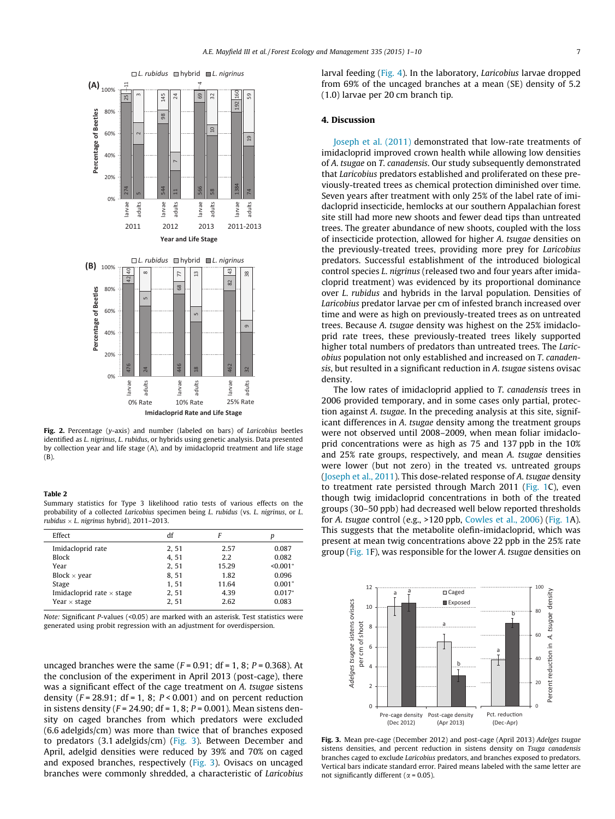<span id="page-6-0"></span>

Fig. 2. Percentage (y-axis) and number (labeled on bars) of Laricobius beetles identified as L. nigrinus, L. rubidus, or hybrids using genetic analysis. Data presented by collection year and life stage (A), and by imidacloprid treatment and life stage (B).

#### Table 2

Summary statistics for Type 3 likelihood ratio tests of various effects on the probability of a collected Laricobius specimen being L. rubidus (vs. L. nigrinus, or L. rubidus  $\times$  L. nigrinus hybrid), 2011–2013.

| Effect                           | df    |       | D          |
|----------------------------------|-------|-------|------------|
| Imidacloprid rate                | 2.51  | 2.57  | 0.087      |
| <b>Block</b>                     | 4.51  | 2.2   | 0.082      |
| Year                             | 2.51  | 15.29 | $< 0.001*$ |
| Block $\times$ year              | 8, 51 | 1.82  | 0.096      |
| Stage                            | 1.51  | 11.64 | $0.001*$   |
| Imidacloprid rate $\times$ stage | 2.51  | 4.39  | $0.017*$   |
| Year $\times$ stage              | 2, 51 | 2.62  | 0.083      |
|                                  |       |       |            |

Note: Significant P-values (<0.05) are marked with an asterisk. Test statistics were generated using probit regression with an adjustment for overdispersion.

uncaged branches were the same  $(F = 0.91; df = 1, 8; P = 0.368)$ . At the conclusion of the experiment in April 2013 (post-cage), there was a significant effect of the cage treatment on A. tsugae sistens density  $(F = 28.91; df = 1, 8; P < 0.001)$  and on percent reduction in sistens density ( $F = 24.90$ ; df = 1, 8;  $P = 0.001$ ). Mean sistens density on caged branches from which predators were excluded (6.6 adelgids/cm) was more than twice that of branches exposed to predators (3.1 adelgids/cm) (Fig. 3). Between December and April, adelgid densities were reduced by 39% and 70% on caged and exposed branches, respectively (Fig. 3). Ovisacs on uncaged branches were commonly shredded, a characteristic of Laricobius larval feeding [\(Fig. 4\)](#page-7-0). In the laboratory, Laricobius larvae dropped from 69% of the uncaged branches at a mean (SE) density of 5.2 (1.0) larvae per 20 cm branch tip.

# 4. Discussion

[Joseph et al. \(2011\)](#page-9-0) demonstrated that low-rate treatments of imidacloprid improved crown health while allowing low densities of A. tsugae on T. canadensis. Our study subsequently demonstrated that Laricobius predators established and proliferated on these previously-treated trees as chemical protection diminished over time. Seven years after treatment with only 25% of the label rate of imidacloprid insecticide, hemlocks at our southern Appalachian forest site still had more new shoots and fewer dead tips than untreated trees. The greater abundance of new shoots, coupled with the loss of insecticide protection, allowed for higher A. tsugae densities on the previously-treated trees, providing more prey for Laricobius predators. Successful establishment of the introduced biological control species L. nigrinus (released two and four years after imidacloprid treatment) was evidenced by its proportional dominance over L. rubidus and hybrids in the larval population. Densities of Laricobius predator larvae per cm of infested branch increased over time and were as high on previously-treated trees as on untreated trees. Because A. tsugae density was highest on the 25% imidacloprid rate trees, these previously-treated trees likely supported higher total numbers of predators than untreated trees. The Laricobius population not only established and increased on T. canadensis, but resulted in a significant reduction in A. tsugae sistens ovisac density.

The low rates of imidacloprid applied to T. canadensis trees in 2006 provided temporary, and in some cases only partial, protection against A. tsugae. In the preceding analysis at this site, significant differences in A. tsugae density among the treatment groups were not observed until 2008–2009, when mean foliar imidacloprid concentrations were as high as 75 and 137 ppb in the 10% and 25% rate groups, respectively, and mean A. tsugae densities were lower (but not zero) in the treated vs. untreated groups ([Joseph et al., 2011](#page-9-0)). This dose-related response of A. tsugae density to treatment rate persisted through March 2011 [\(Fig. 1](#page-5-0)C), even though twig imidacloprid concentrations in both of the treated groups (30–50 ppb) had decreased well below reported thresholds for A. tsugae control (e.g., >120 ppb, [Cowles et al., 2006\)](#page-8-0) ([Fig. 1](#page-5-0)A). This suggests that the metabolite olefin-imidacloprid, which was present at mean twig concentrations above 22 ppb in the 25% rate group ([Fig. 1F](#page-5-0)), was responsible for the lower A. tsugae densities on



Fig. 3. Mean pre-cage (December 2012) and post-cage (April 2013) Adelges tsugae sistens densities, and percent reduction in sistens density on Tsuga canadensis branches caged to exclude Laricobius predators, and branches exposed to predators. Vertical bars indicate standard error. Paired means labeled with the same letter are not significantly different ( $\alpha$  = 0.05).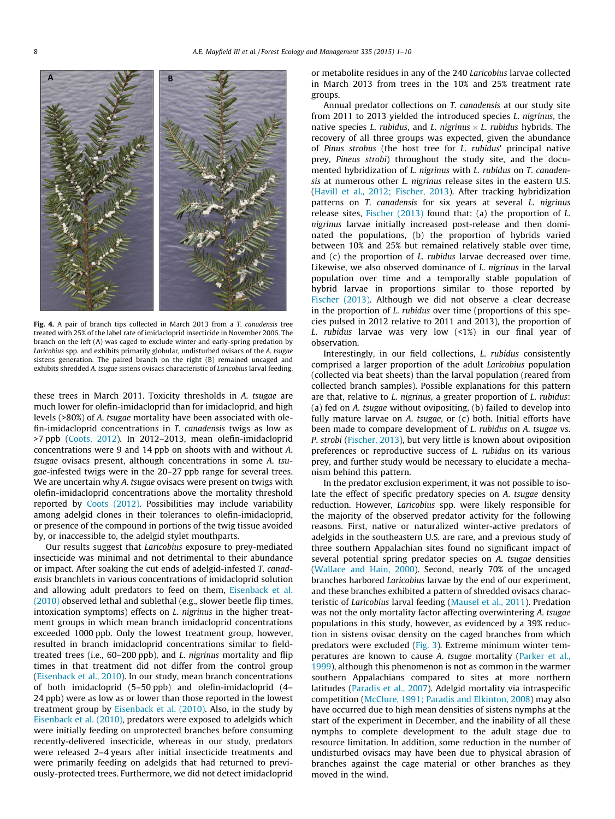<span id="page-7-0"></span>

Fig. 4. A pair of branch tips collected in March 2013 from a T. canadensis tree treated with 25% of the label rate of imidacloprid insecticide in November 2006. The branch on the left (A) was caged to exclude winter and early-spring predation by Laricobius spp. and exhibits primarily globular, undisturbed ovisacs of the A. tsugae sistens generation. The paired branch on the right (B) remained uncaged and exhibits shredded A. tsugae sistens ovisacs characteristic of Laricobius larval feeding.

these trees in March 2011. Toxicity thresholds in A. tsugae are much lower for olefin-imidacloprid than for imidacloprid, and high levels (>80%) of A. tsugae mortality have been associated with olefin-imidacloprid concentrations in T. canadensis twigs as low as >7 ppb [\(Coots, 2012](#page-8-0)). In 2012–2013, mean olefin-imidacloprid concentrations were 9 and 14 ppb on shoots with and without A. tsugae ovisacs present, although concentrations in some A. tsugae-infested twigs were in the 20–27 ppb range for several trees. We are uncertain why A. tsugae ovisacs were present on twigs with olefin-imidacloprid concentrations above the mortality threshold reported by [Coots \(2012\)](#page-8-0). Possibilities may include variability among adelgid clones in their tolerances to olefin-imidacloprid, or presence of the compound in portions of the twig tissue avoided by, or inaccessible to, the adelgid stylet mouthparts.

Our results suggest that Laricobius exposure to prey-mediated insecticide was minimal and not detrimental to their abundance or impact. After soaking the cut ends of adelgid-infested T. canadensis branchlets in various concentrations of imidacloprid solution and allowing adult predators to feed on them, [Eisenback et al.](#page-8-0) [\(2010\)](#page-8-0) observed lethal and sublethal (e.g., slower beetle flip times, intoxication symptoms) effects on L. nigrinus in the higher treatment groups in which mean branch imidacloprid concentrations exceeded 1000 ppb. Only the lowest treatment group, however, resulted in branch imidacloprid concentrations similar to fieldtreated trees (i.e., 60–200 ppb), and L. nigrinus mortality and flip times in that treatment did not differ from the control group ([Eisenback et al., 2010](#page-8-0)). In our study, mean branch concentrations of both imidacloprid (5–50 ppb) and olefin-imidacloprid (4– 24 ppb) were as low as or lower than those reported in the lowest treatment group by [Eisenback et al. \(2010\).](#page-8-0) Also, in the study by [Eisenback et al. \(2010\),](#page-8-0) predators were exposed to adelgids which were initially feeding on unprotected branches before consuming recently-delivered insecticide, whereas in our study, predators were released 2–4 years after initial insecticide treatments and were primarily feeding on adelgids that had returned to previously-protected trees. Furthermore, we did not detect imidacloprid or metabolite residues in any of the 240 Laricobius larvae collected in March 2013 from trees in the 10% and 25% treatment rate groups.

Annual predator collections on T. canadensis at our study site from 2011 to 2013 yielded the introduced species L. nigrinus, the native species L. rubidus, and L. nigrinus  $\times$  L. rubidus hybrids. The recovery of all three groups was expected, given the abundance of Pinus strobus (the host tree for L. rubidus' principal native prey, Pineus strobi) throughout the study site, and the documented hybridization of L. nigrinus with L. rubidus on T. canadensis at numerous other L. nigrinus release sites in the eastern U.S. ([Havill et al., 2012; Fischer, 2013](#page-9-0)). After tracking hybridization patterns on T. canadensis for six years at several L. nigrinus release sites, [Fischer \(2013\)](#page-9-0) found that: (a) the proportion of L. nigrinus larvae initially increased post-release and then dominated the populations, (b) the proportion of hybrids varied between 10% and 25% but remained relatively stable over time, and (c) the proportion of L. rubidus larvae decreased over time. Likewise, we also observed dominance of L. nigrinus in the larval population over time and a temporally stable population of hybrid larvae in proportions similar to those reported by [Fischer \(2013\)](#page-9-0). Although we did not observe a clear decrease in the proportion of L. rubidus over time (proportions of this species pulsed in 2012 relative to 2011 and 2013), the proportion of L. rubidus larvae was very low (<1%) in our final year of observation.

Interestingly, in our field collections, L. rubidus consistently comprised a larger proportion of the adult Laricobius population (collected via beat sheets) than the larval population (reared from collected branch samples). Possible explanations for this pattern are that, relative to L. nigrinus, a greater proportion of L. rubidus: (a) fed on A. tsugae without ovipositing, (b) failed to develop into fully mature larvae on A. tsugae, or (c) both. Initial efforts have been made to compare development of L. rubidus on A. tsugae vs. P. strobi ([Fischer, 2013\)](#page-9-0), but very little is known about oviposition preferences or reproductive success of L. rubidus on its various prey, and further study would be necessary to elucidate a mechanism behind this pattern.

In the predator exclusion experiment, it was not possible to isolate the effect of specific predatory species on A. tsugae density reduction. However, Laricobius spp. were likely responsible for the majority of the observed predator activity for the following reasons. First, native or naturalized winter-active predators of adelgids in the southeastern U.S. are rare, and a previous study of three southern Appalachian sites found no significant impact of several potential spring predator species on A. tsugae densities ([Wallace and Hain, 2000](#page-9-0)). Second, nearly 70% of the uncaged branches harbored Laricobius larvae by the end of our experiment, and these branches exhibited a pattern of shredded ovisacs characteristic of Laricobius larval feeding ([Mausel et al., 2011\)](#page-9-0). Predation was not the only mortality factor affecting overwintering A. tsugae populations in this study, however, as evidenced by a 39% reduction in sistens ovisac density on the caged branches from which predators were excluded ([Fig. 3](#page-6-0)). Extreme minimum winter temperatures are known to cause A. tsugae mortality [\(Parker et al.,](#page-9-0) [1999\)](#page-9-0), although this phenomenon is not as common in the warmer southern Appalachians compared to sites at more northern latitudes ([Paradis et al., 2007](#page-9-0)). Adelgid mortality via intraspecific competition ([McClure, 1991; Paradis and Elkinton, 2008\)](#page-9-0) may also have occurred due to high mean densities of sistens nymphs at the start of the experiment in December, and the inability of all these nymphs to complete development to the adult stage due to resource limitation. In addition, some reduction in the number of undisturbed ovisacs may have been due to physical abrasion of branches against the cage material or other branches as they moved in the wind.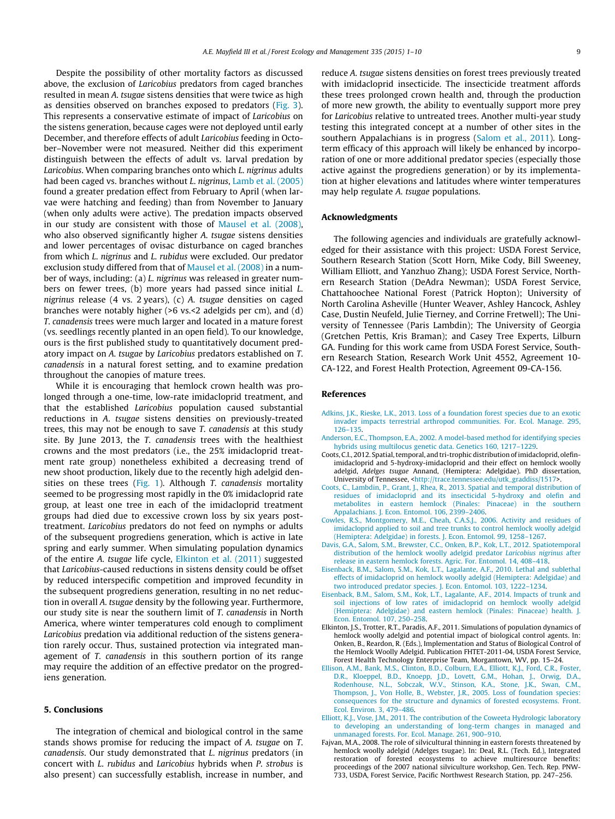<span id="page-8-0"></span>Despite the possibility of other mortality factors as discussed above, the exclusion of Laricobius predators from caged branches resulted in mean A. tsugae sistens densities that were twice as high as densities observed on branches exposed to predators [\(Fig. 3\)](#page-6-0). This represents a conservative estimate of impact of Laricobius on the sistens generation, because cages were not deployed until early December, and therefore effects of adult Laricobius feeding in October–November were not measured. Neither did this experiment distinguish between the effects of adult vs. larval predation by Laricobius. When comparing branches onto which L. nigrinus adults had been caged vs. branches without L. nigrinus, [Lamb et al. \(2005\)](#page-9-0) found a greater predation effect from February to April (when larvae were hatching and feeding) than from November to January (when only adults were active). The predation impacts observed in our study are consistent with those of [Mausel et al. \(2008\),](#page-9-0) who also observed significantly higher A. tsugae sistens densities and lower percentages of ovisac disturbance on caged branches from which L. nigrinus and L. rubidus were excluded. Our predator exclusion study differed from that of [Mausel et al. \(2008\)](#page-9-0) in a number of ways, including: (a) L. nigrinus was released in greater numbers on fewer trees, (b) more years had passed since initial L. nigrinus release (4 vs. 2 years), (c) A. tsugae densities on caged branches were notably higher (>6 vs.<2 adelgids per cm), and (d) T. canadensis trees were much larger and located in a mature forest (vs. seedlings recently planted in an open field). To our knowledge, ours is the first published study to quantitatively document predatory impact on A. tsugae by Laricobius predators established on T. canadensis in a natural forest setting, and to examine predation throughout the canopies of mature trees.

While it is encouraging that hemlock crown health was prolonged through a one-time, low-rate imidacloprid treatment, and that the established Laricobius population caused substantial reductions in A. tsugae sistens densities on previously-treated trees, this may not be enough to save T. canadensis at this study site. By June 2013, the T. canadensis trees with the healthiest crowns and the most predators (i.e., the 25% imidacloprid treatment rate group) nonetheless exhibited a decreasing trend of new shoot production, likely due to the recently high adelgid densities on these trees [\(Fig. 1\)](#page-5-0). Although T. canadensis mortality seemed to be progressing most rapidly in the 0% imidacloprid rate group, at least one tree in each of the imidacloprid treatment groups had died due to excessive crown loss by six years posttreatment. Laricobius predators do not feed on nymphs or adults of the subsequent progrediens generation, which is active in late spring and early summer. When simulating population dynamics of the entire A. tsugae life cycle, Elkinton et al. (2011) suggested that Laricobius-caused reductions in sistens density could be offset by reduced interspecific competition and improved fecundity in the subsequent progrediens generation, resulting in no net reduction in overall A. tsugae density by the following year. Furthermore, our study site is near the southern limit of T. canadensis in North America, where winter temperatures cold enough to compliment Laricobius predation via additional reduction of the sistens generation rarely occur. Thus, sustained protection via integrated management of T. canadensis in this southern portion of its range may require the addition of an effective predator on the progrediens generation.

## 5. Conclusions

The integration of chemical and biological control in the same stands shows promise for reducing the impact of A. tsugae on T. canadensis. Our study demonstrated that L. nigrinus predators (in concert with L. rubidus and Laricobius hybrids when P. strobus is also present) can successfully establish, increase in number, and reduce A. tsugae sistens densities on forest trees previously treated with imidacloprid insecticide. The insecticide treatment affords these trees prolonged crown health and, through the production of more new growth, the ability to eventually support more prey for Laricobius relative to untreated trees. Another multi-year study testing this integrated concept at a number of other sites in the southern Appalachians is in progress ([Salom et al., 2011\)](#page-9-0). Longterm efficacy of this approach will likely be enhanced by incorporation of one or more additional predator species (especially those active against the progrediens generation) or by its implementation at higher elevations and latitudes where winter temperatures may help regulate A. tsugae populations.

#### Acknowledgments

The following agencies and individuals are gratefully acknowledged for their assistance with this project: USDA Forest Service, Southern Research Station (Scott Horn, Mike Cody, Bill Sweeney, William Elliott, and Yanzhuo Zhang); USDA Forest Service, Northern Research Station (DeAdra Newman); USDA Forest Service, Chattahoochee National Forest (Patrick Hopton); University of North Carolina Asheville (Hunter Weaver, Ashley Hancock, Ashley Case, Dustin Neufeld, Julie Tierney, and Corrine Fretwell); The University of Tennessee (Paris Lambdin); The University of Georgia (Gretchen Pettis, Kris Braman); and Casey Tree Experts, Lilburn GA. Funding for this work came from USDA Forest Service, Southern Research Station, Research Work Unit 4552, Agreement 10- CA-122, and Forest Health Protection, Agreement 09-CA-156.

#### References

- [Adkins, J.K., Rieske, L.K., 2013. Loss of a foundation forest species due to an exotic](http://refhub.elsevier.com/S0378-1127(14)00562-3/h0005) [invader impacts terrestrial arthropod communities. For. Ecol. Manage. 295,](http://refhub.elsevier.com/S0378-1127(14)00562-3/h0005) [126–135](http://refhub.elsevier.com/S0378-1127(14)00562-3/h0005).
- [Anderson, E.C., Thompson, E.A., 2002. A model-based method for identifying species](http://refhub.elsevier.com/S0378-1127(14)00562-3/h0010) [hybrids using multilocus genetic data. Genetics 160, 1217–1229](http://refhub.elsevier.com/S0378-1127(14)00562-3/h0010).
- Coots, C.I., 2012. Spatial, temporal, and tri-trophic distribution of imidacloprid, olefinimidacloprid and 5-hydroxy-imidacloprid and their effect on hemlock woolly adelgid, Adelges tsugae Annand, (Hemiptera: Adelgidae). PhD dissertation, University of Tennessee, <[http://trace.tennessee.edu/utk\\_graddiss/1517>](http://trace.tennessee.edu/utk_graddiss/1517).
- [Coots, C., Lambdin, P., Grant, J., Rhea, R., 2013. Spatial and temporal distribution of](http://refhub.elsevier.com/S0378-1127(14)00562-3/h0020) [residues of imidacloprid and its insecticidal 5-hydroxy and olefin and](http://refhub.elsevier.com/S0378-1127(14)00562-3/h0020) [metabolites in eastern hemlock \(Pinales: Pinaceae\) in the southern](http://refhub.elsevier.com/S0378-1127(14)00562-3/h0020) [Appalachians. J. Econ. Entomol. 106, 2399–2406.](http://refhub.elsevier.com/S0378-1127(14)00562-3/h0020)
- [Cowles, R.S., Montgomery, M.E., Cheah, C.A.S.J., 2006. Activity and residues of](http://refhub.elsevier.com/S0378-1127(14)00562-3/h0025) [imidacloprid applied to soil and tree trunks to control hemlock woolly adelgid](http://refhub.elsevier.com/S0378-1127(14)00562-3/h0025) [\(Hemiptera: Adelgidae\) in forests. J. Econ. Entomol. 99, 1258–1267.](http://refhub.elsevier.com/S0378-1127(14)00562-3/h0025)
- [Davis, G.A., Salom, S.M., Brewster, C.C., Onken, B.P., Kok, L.T., 2012. Spatiotemporal](http://refhub.elsevier.com/S0378-1127(14)00562-3/h0030) [distribution of the hemlock woolly adelgid predator](http://refhub.elsevier.com/S0378-1127(14)00562-3/h0030) Laricobius nigrinus after [release in eastern hemlock forests. Agric. For. Entomol. 14, 408–418.](http://refhub.elsevier.com/S0378-1127(14)00562-3/h0030)
- [Eisenback, B.M., Salom, S.M., Kok, L.T., Lagalante, A.F., 2010. Lethal and sublethal](http://refhub.elsevier.com/S0378-1127(14)00562-3/h0035) [effects of imidacloprid on hemlock woolly adelgid \(Hemiptera: Adelgidae\) and](http://refhub.elsevier.com/S0378-1127(14)00562-3/h0035) [two introduced predator species. J. Econ. Entomol. 103, 1222–1234](http://refhub.elsevier.com/S0378-1127(14)00562-3/h0035).
- [Eisenback, B.M., Salom, S.M., Kok, L.T., Lagalante, A.F., 2014. Impacts of trunk and](http://refhub.elsevier.com/S0378-1127(14)00562-3/h0040) [soil injections of low rates of imidacloprid on hemlock woolly adelgid](http://refhub.elsevier.com/S0378-1127(14)00562-3/h0040) [\(Hemiptera: Adelgidae\) and eastern hemlock \(Pinales: Pinaceae\) health. J.](http://refhub.elsevier.com/S0378-1127(14)00562-3/h0040) [Econ. Entomol. 107, 250–258](http://refhub.elsevier.com/S0378-1127(14)00562-3/h0040).
- Elkinton, J.S., Trotter, R.T., Paradis, A.F., 2011. Simulations of population dynamics of hemlock woolly adelgid and potential impact of biological control agents. In: Onken, B., Reardon, R. (Eds.), Implementation and Status of Biological Control of the Hemlock Woolly Adelgid. Publication FHTET-2011-04, USDA Forest Service, Forest Health Technology Enterprise Team, Morgantown, WV, pp. 15–24.
- [Ellison, A.M., Bank, M.S., Clinton, B.D., Colburn, E.A., Elliott, K.J., Ford, C.R., Foster,](http://refhub.elsevier.com/S0378-1127(14)00562-3/h0050) [D.R., Kloeppel, B.D., Knoepp, J.D., Lovett, G.M., Hohan, J., Orwig, D.A.,](http://refhub.elsevier.com/S0378-1127(14)00562-3/h0050) [Rodenhouse, N.L., Sobczak, W.V., Stinson, K.A., Stone, J.K., Swan, C.M.,](http://refhub.elsevier.com/S0378-1127(14)00562-3/h0050) [Thompson, J., Von Holle, B., Webster, J.R., 2005. Loss of foundation species:](http://refhub.elsevier.com/S0378-1127(14)00562-3/h0050) [consequences for the structure and dynamics of forested ecosystems. Front.](http://refhub.elsevier.com/S0378-1127(14)00562-3/h0050) [Ecol. Environ. 3, 479–486.](http://refhub.elsevier.com/S0378-1127(14)00562-3/h0050)
- [Elliott, K.J., Vose, J.M., 2011. The contribution of the Coweeta Hydrologic laboratory](http://refhub.elsevier.com/S0378-1127(14)00562-3/h0055) [to developing an understanding of long-term changes in managed and](http://refhub.elsevier.com/S0378-1127(14)00562-3/h0055) [unmanaged forests. For. Ecol. Manage. 261, 900–910.](http://refhub.elsevier.com/S0378-1127(14)00562-3/h0055)
- Fajvan, M.A., 2008. The role of silvicultural thinning in eastern forests threatened by hemlock woolly adelgid (Adelges tsugae). In: Deal, R.L. (Tech. Ed.), Integrated forested ecosystems to achieve multiresource benefits: proceedings of the 2007 national silviculture workshop, Gen. Tech. Rep. PNW-733, USDA, Forest Service, Pacific Northwest Research Station, pp. 247–256.